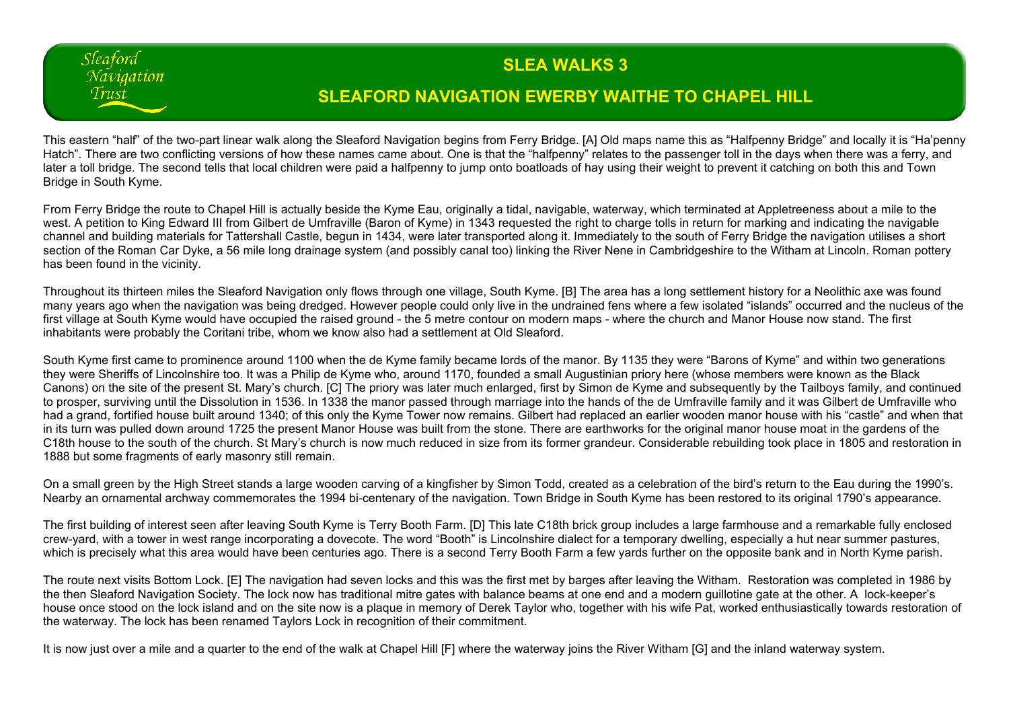## **SLEA WALKS 3**

## **SLEAFORD NAVIGATION EWERBY WAITHE TO CHAPEL HILL**

This eastern "half" of the two-part linear walk along the Sleaford Navigation begins from Ferry Bridge. [A] Old maps name this as "Halfpenny Bridge" and locally it is "Ha'penny Hatch". There are two conflicting versions of how these names came about. One is that the "halfpenny" relates to the passenger toll in the days when there was a ferry, and later a toll bridge. The second tells that local children were paid a halfpenny to jump onto boatloads of hay using their weight to prevent it catching on both this and Town Bridge in South Kyme.

Sleaford Naviaation Trust

From Ferry Bridge the route to Chapel Hill is actually beside the Kyme Eau, originally a tidal, navigable, waterway, which terminated at Appletreeness about a mile to the west. A petition to King Edward III from Gilbert de Umfraville (Baron of Kyme) in 1343 requested the right to charge tolls in return for marking and indicating the navigable channel and building materials for Tattershall Castle, begun in 1434, were later transported along it. Immediately to the south of Ferry Bridge the navigation utilises a short section of the Roman Car Dyke, a 56 mile long drainage system (and possibly canal too) linking the River Nene in Cambridgeshire to the Witham at Lincoln. Roman pottery has been found in the vicinity.

Throughout its thirteen miles the Sleaford Navigation only flows through one village, South Kyme. [B] The area has a long settlement history for a Neolithic axe was found many years ago when the navigation was being dredged. However people could only live in the undrained fens where a few isolated "islands" occurred and the nucleus of the first village at South Kyme would have occupied the raised ground - the 5 metre contour on modern maps - where the church and Manor House now stand. The first inhabitants were probably the Coritani tribe, whom we know also had a settlement at Old Sleaford.

South Kyme first came to prominence around 1100 when the de Kyme family became lords of the manor. By 1135 they were "Barons of Kyme" and within two generations they were Sheriffs of Lincolnshire too. It was a Philip de Kyme who, around 1170, founded a small Augustinian priory here (whose members were known as the Black Canons) on the site of the present St. Mary's church. [C] The priory was later much enlarged, first by Simon de Kyme and subsequently by the Tailboys family, and continued to prosper, surviving until the Dissolution in 1536. In 1338 the manor passed through marriage into the hands of the de Umfraville family and it was Gilbert de Umfraville who had a grand, fortified house built around 1340; of this only the Kyme Tower now remains. Gilbert had replaced an earlier wooden manor house with his "castle" and when that in its turn was pulled down around 1725 the present Manor House was built from the stone. There are earthworks for the original manor house moat in the gardens of the C18th house to the south of the church. St Mary's church is now much reduced in size from its former grandeur. Considerable rebuilding took place in 1805 and restoration in 1888 but some fragments of early masonry still remain.

On a small green by the High Street stands a large wooden carving of a kingfisher by Simon Todd, created as a celebration of the bird's return to the Eau during the 1990's. Nearby an ornamental archway commemorates the 1994 bi-centenary of the navigation. Town Bridge in South Kyme has been restored to its original 1790's appearance.

The first building of interest seen after leaving South Kyme is Terry Booth Farm. [D] This late C18th brick group includes a large farmhouse and a remarkable fully enclosed crew-yard, with a tower in west range incorporating a dovecote. The word "Booth" is Lincolnshire dialect for a temporary dwelling, especially a hut near summer pastures, which is precisely what this area would have been centuries ago. There is a second Terry Booth Farm a few yards further on the opposite bank and in North Kyme parish.

The route next visits Bottom Lock. [E] The navigation had seven locks and this was the first met by barges after leaving the Witham. Restoration was completed in 1986 by the then Sleaford Navigation Society. The lock now has traditional mitre gates with balance beams at one end and a modern guillotine gate at the other. A lock-keeper's house once stood on the lock island and on the site now is a plaque in memory of Derek Taylor who, together with his wife Pat, worked enthusiastically towards restoration of the waterway. The lock has been renamed Taylors Lock in recognition of their commitment.

It is now just over a mile and a quarter to the end of the walk at Chapel Hill [F] where the waterway joins the River Witham [G] and the inland waterway system.